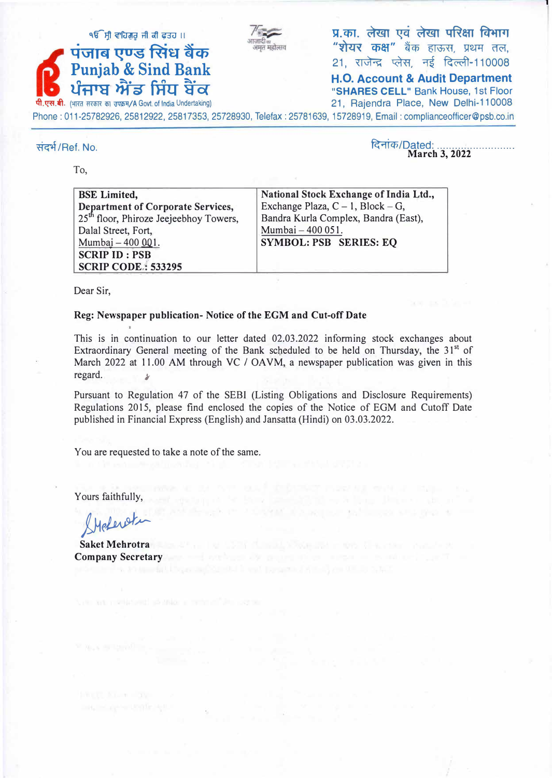

९ <sup>१६ मी</sup> राजन को बाब रही है। उस मौर करने बाब की अर्था करने हैं। अर्थिक अर्थिक अर्थिक अर्थिक अर्थिक अर्थिक अर्थिक<br>अपनी को स्थान करने अपनी अर्थ करने अर्थ करने के सम्मान करने हैं। अर्थ करने अर्थ करने अर्थ करने अर्थ करने अर "शेयर कक्ष" बैंक हाऊस, प्रथम तल, 21, राजेन्द्र प्लेस, नई दिल्ली-110008 ,

n, any and the Danish Care of the H.O. Account & Audit Department **and the Second Structure Care of the Second Structure and Audit Department l.lt-flij � U14 'S<5f "SHARES CELL"** Bank House, 1st Floor 21, Rajendra Place, New Delhi-110008 Phone: 011-25782926, 25812922, 25817353, 25728930, Telefax: 25781639, 15728919, Email : complianceofficer@psb.co.in

#### संदर्भ/Ref. No.

To,

दिनांक/Dated: **March 3, 2022** 

caernon to himself and the in-

| <b>BSE</b> Limited,                                | National Stock Exchange of India Ltd., |
|----------------------------------------------------|----------------------------------------|
| <b>Department of Corporate Services,</b>           | Exchange Plaza, $C - 1$ , Block – G,   |
| 25 <sup>th</sup> floor, Phiroze Jeejeebhoy Towers, | Bandra Kurla Complex, Bandra (East),   |
| Dalal Street, Fort,                                | Mumbai - 400 051.                      |
| Mumbai - 400 001.                                  | <b>SYMBOL: PSB SERIES: EQ</b>          |
| <b>SCRIP ID: PSB</b>                               |                                        |
| <b>SCRIP CODE: 533295</b>                          |                                        |

Dear Sir,

#### **Reg: Newspaper publication- Notice of the EGM and Cut-off Date**

This is in continuation to our letter dated 02.03.2022 informing stock exchanges about Extraordinary General meeting of the Bank scheduled to be held on Thursday, the 31<sup>st</sup> of March 2022 at 11.00 AM through VC / OAVM, a newspaper publication was given in this regard.

Pursuant to Regulation 47 of the SEBI (Listing Obligations and Disclosure Requirements) Regulations 2015, please find enclosed the copies of the Notice of EGM and Cutoff Date published in Financial Express (English) and Jansatta (Hindi) on 03.03,.2022.

You are requested to take a note of the same.

Yours faithfully,

*�r:W�*

**Saket Mehrotra Company Secretary**